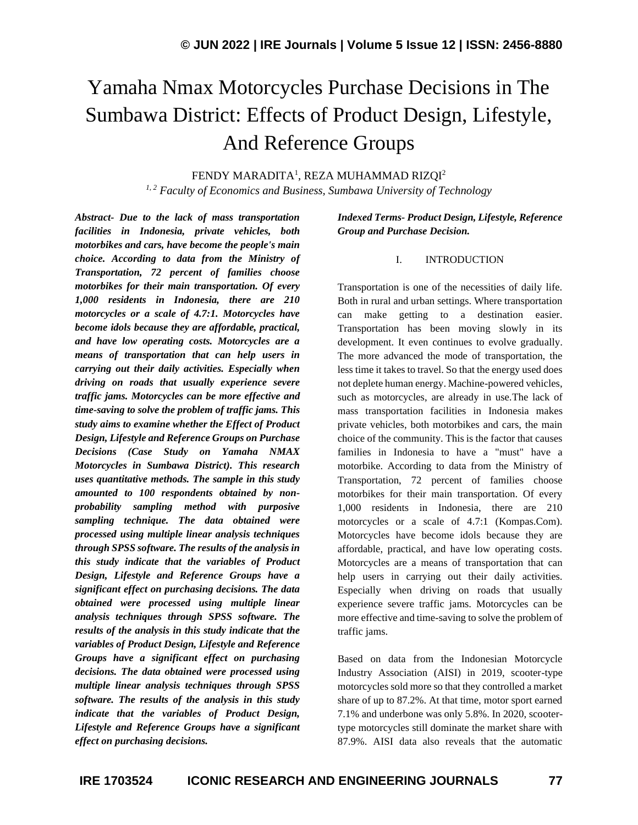# Yamaha Nmax Motorcycles Purchase Decisions in The Sumbawa District: Effects of Product Design, Lifestyle, And Reference Groups

FENDY MARADITA<sup>1</sup>, REZA MUHAMMAD RIZQI<sup>2</sup>

*1, 2 Faculty of Economics and Business, Sumbawa University of Technology*

*Abstract- Due to the lack of mass transportation facilities in Indonesia, private vehicles, both motorbikes and cars, have become the people's main choice. According to data from the Ministry of Transportation, 72 percent of families choose motorbikes for their main transportation. Of every 1,000 residents in Indonesia, there are 210 motorcycles or a scale of 4.7:1. Motorcycles have become idols because they are affordable, practical, and have low operating costs. Motorcycles are a means of transportation that can help users in carrying out their daily activities. Especially when driving on roads that usually experience severe traffic jams. Motorcycles can be more effective and time-saving to solve the problem of traffic jams. This study aims to examine whether the Effect of Product Design, Lifestyle and Reference Groups on Purchase Decisions (Case Study on Yamaha NMAX Motorcycles in Sumbawa District). This research uses quantitative methods. The sample in this study amounted to 100 respondents obtained by nonprobability sampling method with purposive sampling technique. The data obtained were processed using multiple linear analysis techniques through SPSS software. The results of the analysis in this study indicate that the variables of Product Design, Lifestyle and Reference Groups have a significant effect on purchasing decisions. The data obtained were processed using multiple linear analysis techniques through SPSS software. The results of the analysis in this study indicate that the variables of Product Design, Lifestyle and Reference Groups have a significant effect on purchasing decisions. The data obtained were processed using multiple linear analysis techniques through SPSS software. The results of the analysis in this study indicate that the variables of Product Design, Lifestyle and Reference Groups have a significant effect on purchasing decisions.*

*Indexed Terms- Product Design, Lifestyle, Reference Group and Purchase Decision.*

## I. INTRODUCTION

Transportation is one of the necessities of daily life. Both in rural and urban settings. Where transportation can make getting to a destination easier. Transportation has been moving slowly in its development. It even continues to evolve gradually. The more advanced the mode of transportation, the less time it takes to travel. So that the energy used does not deplete human energy. Machine-powered vehicles, such as motorcycles, are already in use.The lack of mass transportation facilities in Indonesia makes private vehicles, both motorbikes and cars, the main choice of the community. This is the factor that causes families in Indonesia to have a "must" have a motorbike. According to data from the Ministry of Transportation, 72 percent of families choose motorbikes for their main transportation. Of every 1,000 residents in Indonesia, there are 210 motorcycles or a scale of 4.7:1 (Kompas.Com). Motorcycles have become idols because they are affordable, practical, and have low operating costs. Motorcycles are a means of transportation that can help users in carrying out their daily activities. Especially when driving on roads that usually experience severe traffic jams. Motorcycles can be more effective and time-saving to solve the problem of traffic jams.

Based on data from the Indonesian Motorcycle Industry Association (AISI) in 2019, scooter-type motorcycles sold more so that they controlled a market share of up to 87.2%. At that time, motor sport earned 7.1% and underbone was only 5.8%. In 2020, scootertype motorcycles still dominate the market share with 87.9%. AISI data also reveals that the automatic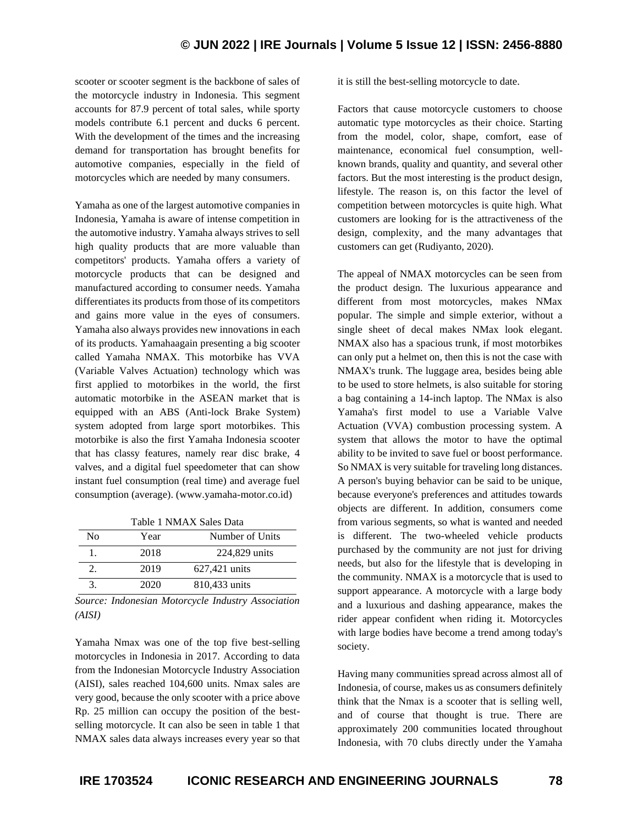scooter or scooter segment is the backbone of sales of the motorcycle industry in Indonesia. This segment accounts for 87.9 percent of total sales, while sporty models contribute 6.1 percent and ducks 6 percent. With the development of the times and the increasing demand for transportation has brought benefits for automotive companies, especially in the field of motorcycles which are needed by many consumers.

Yamaha as one of the largest automotive companies in Indonesia, Yamaha is aware of intense competition in the automotive industry. Yamaha always strives to sell high quality products that are more valuable than competitors' products. Yamaha offers a variety of motorcycle products that can be designed and manufactured according to consumer needs. Yamaha differentiates its products from those of its competitors and gains more value in the eyes of consumers. Yamaha also always provides new innovations in each of its products. Yamahaagain presenting a big scooter called Yamaha NMAX. This motorbike has VVA (Variable Valves Actuation) technology which was first applied to motorbikes in the world, the first automatic motorbike in the ASEAN market that is equipped with an ABS (Anti-lock Brake System) system adopted from large sport motorbikes. This motorbike is also the first Yamaha Indonesia scooter that has classy features, namely rear disc brake, 4 valves, and a digital fuel speedometer that can show instant fuel consumption (real time) and average fuel consumption (average). (www.yamaha-motor.co.id)

Table 1 NMAX Sales Data

| No | Year | Number of Units |
|----|------|-----------------|
|    | 2018 | 224,829 units   |
|    | 2019 | 627,421 units   |
|    | 2020 | 810,433 units   |

*Source: Indonesian Motorcycle Industry Association (AISI)*

Yamaha Nmax was one of the top five best-selling motorcycles in Indonesia in 2017. According to data from the Indonesian Motorcycle Industry Association (AISI), sales reached 104,600 units. Nmax sales are very good, because the only scooter with a price above Rp. 25 million can occupy the position of the bestselling motorcycle. It can also be seen in table 1 that NMAX sales data always increases every year so that it is still the best-selling motorcycle to date.

Factors that cause motorcycle customers to choose automatic type motorcycles as their choice. Starting from the model, color, shape, comfort, ease of maintenance, economical fuel consumption, wellknown brands, quality and quantity, and several other factors. But the most interesting is the product design, lifestyle. The reason is, on this factor the level of competition between motorcycles is quite high. What customers are looking for is the attractiveness of the design, complexity, and the many advantages that customers can get (Rudiyanto, 2020).

The appeal of NMAX motorcycles can be seen from the product design. The luxurious appearance and different from most motorcycles, makes NMax popular. The simple and simple exterior, without a single sheet of decal makes NMax look elegant. NMAX also has a spacious trunk, if most motorbikes can only put a helmet on, then this is not the case with NMAX's trunk. The luggage area, besides being able to be used to store helmets, is also suitable for storing a bag containing a 14-inch laptop. The NMax is also Yamaha's first model to use a Variable Valve Actuation (VVA) combustion processing system. A system that allows the motor to have the optimal ability to be invited to save fuel or boost performance. So NMAX is very suitable for traveling long distances. A person's buying behavior can be said to be unique, because everyone's preferences and attitudes towards objects are different. In addition, consumers come from various segments, so what is wanted and needed is different. The two-wheeled vehicle products purchased by the community are not just for driving needs, but also for the lifestyle that is developing in the community. NMAX is a motorcycle that is used to support appearance. A motorcycle with a large body and a luxurious and dashing appearance, makes the rider appear confident when riding it. Motorcycles with large bodies have become a trend among today's society.

Having many communities spread across almost all of Indonesia, of course, makes us as consumers definitely think that the Nmax is a scooter that is selling well, and of course that thought is true. There are approximately 200 communities located throughout Indonesia, with 70 clubs directly under the Yamaha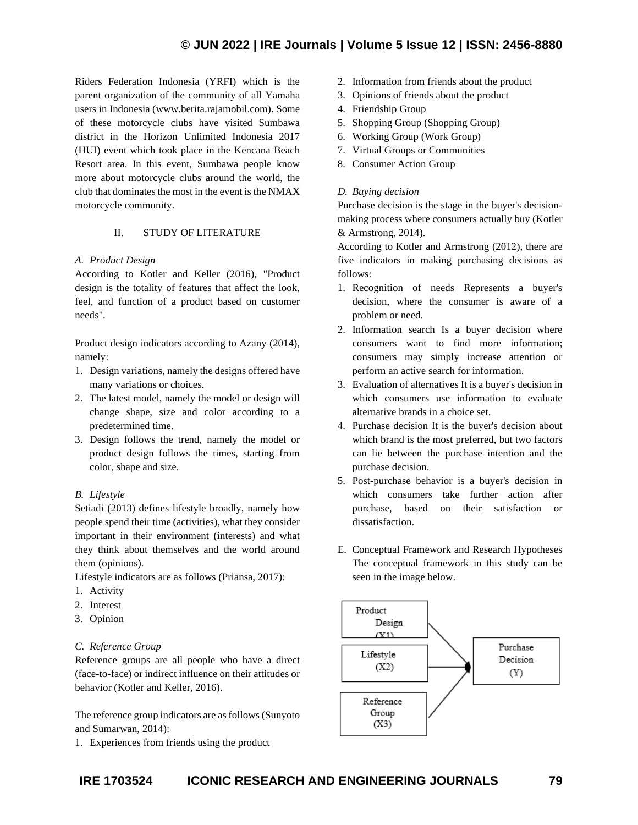Riders Federation Indonesia (YRFI) which is the parent organization of the community of all Yamaha users in Indonesia (www.berita.rajamobil.com). Some of these motorcycle clubs have visited Sumbawa district in the Horizon Unlimited Indonesia 2017 (HUI) event which took place in the Kencana Beach Resort area. In this event, Sumbawa people know more about motorcycle clubs around the world, the club that dominates the most in the event is the NMAX motorcycle community.

# II. STUDY OF LITERATURE

## *A. Product Design*

According to Kotler and Keller (2016), "Product design is the totality of features that affect the look, feel, and function of a product based on customer needs".

Product design indicators according to Azany (2014), namely:

- 1. Design variations, namely the designs offered have many variations or choices.
- 2. The latest model, namely the model or design will change shape, size and color according to a predetermined time.
- 3. Design follows the trend, namely the model or product design follows the times, starting from color, shape and size.

# *B. Lifestyle*

Setiadi (2013) defines lifestyle broadly, namely how people spend their time (activities), what they consider important in their environment (interests) and what they think about themselves and the world around them (opinions).

Lifestyle indicators are as follows (Priansa, 2017):

- 1. Activity
- 2. Interest
- 3. Opinion

# *C. Reference Group*

Reference groups are all people who have a direct (face-to-face) or indirect influence on their attitudes or behavior (Kotler and Keller, 2016).

The reference group indicators are as follows (Sunyoto and Sumarwan, 2014):

1. Experiences from friends using the product

- 2. Information from friends about the product
- 3. Opinions of friends about the product
- 4. Friendship Group
- 5. Shopping Group (Shopping Group)
- 6. Working Group (Work Group)
- 7. Virtual Groups or Communities
- 8. Consumer Action Group

# *D. Buying decision*

Purchase decision is the stage in the buyer's decisionmaking process where consumers actually buy (Kotler & Armstrong, 2014).

According to Kotler and Armstrong (2012), there are five indicators in making purchasing decisions as follows:

- 1. Recognition of needs Represents a buyer's decision, where the consumer is aware of a problem or need.
- 2. Information search Is a buyer decision where consumers want to find more information; consumers may simply increase attention or perform an active search for information.
- 3. Evaluation of alternatives It is a buyer's decision in which consumers use information to evaluate alternative brands in a choice set.
- 4. Purchase decision It is the buyer's decision about which brand is the most preferred, but two factors can lie between the purchase intention and the purchase decision.
- 5. Post-purchase behavior is a buyer's decision in which consumers take further action after purchase, based on their satisfaction or dissatisfaction.
- E. Conceptual Framework and Research Hypotheses The conceptual framework in this study can be seen in the image below.

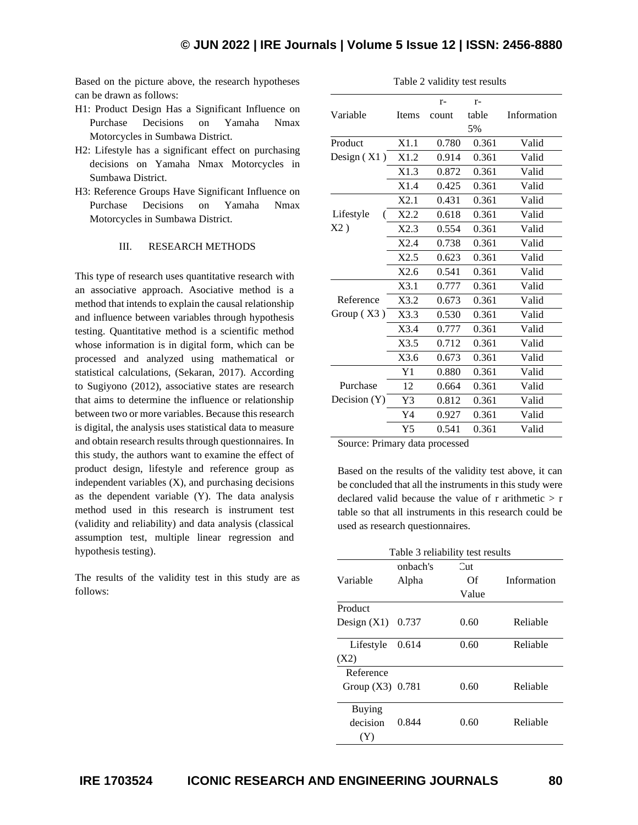Based on the picture above, the research hypotheses can be drawn as follows:

- H1: Product Design Has a Significant Influence on Purchase Decisions on Yamaha Nmax Motorcycles in Sumbawa District.
- H2: Lifestyle has a significant effect on purchasing decisions on Yamaha Nmax Motorcycles in Sumbawa District.
- H3: Reference Groups Have Significant Influence on Purchase Decisions on Yamaha Nmax Motorcycles in Sumbawa District.

## III. RESEARCH METHODS

This type of research uses quantitative research with an associative approach. Asociative method is a method that intends to explain the causal relationship and influence between variables through hypothesis testing. Quantitative method is a scientific method whose information is in digital form, which can be processed and analyzed using mathematical or statistical calculations, (Sekaran, 2017). According to Sugiyono (2012), associative states are research that aims to determine the influence or relationship between two or more variables. Because this research is digital, the analysis uses statistical data to measure and obtain research results through questionnaires. In this study, the authors want to examine the effect of product design, lifestyle and reference group as independent variables (X), and purchasing decisions as the dependent variable (Y). The data analysis method used in this research is instrument test (validity and reliability) and data analysis (classical assumption test, multiple linear regression and hypothesis testing).

The results of the validity test in this study are as follows:

| $1$ able $2$ validity test results |                |       |       |             |
|------------------------------------|----------------|-------|-------|-------------|
|                                    |                | $r-$  | $r-$  |             |
| Variable                           | Items          | count | table | Information |
|                                    |                |       | 5%    |             |
| Product                            | X1.1           | 0.780 | 0.361 | Valid       |
| Design (X1)                        | X1.2           | 0.914 | 0.361 | Valid       |
|                                    | X1.3           | 0.872 | 0.361 | Valid       |
|                                    | X1.4           | 0.425 | 0.361 | Valid       |
|                                    | X2.1           | 0.431 | 0.361 | Valid       |
| Lifestyle                          | X2.2           | 0.618 | 0.361 | Valid       |
| X2)                                | X2.3           | 0.554 | 0.361 | Valid       |
|                                    | X2.4           | 0.738 | 0.361 | Valid       |
|                                    | X2.5           | 0.623 | 0.361 | Valid       |
|                                    | X2.6           | 0.541 | 0.361 | Valid       |
|                                    | X3.1           | 0.777 | 0.361 | Valid       |
| Reference                          | X3.2           | 0.673 | 0.361 | Valid       |
| Group $(X3)$                       | X3.3           | 0.530 | 0.361 | Valid       |
|                                    | X3.4           | 0.777 | 0.361 | Valid       |
|                                    | X3.5           | 0.712 | 0.361 | Valid       |
|                                    | X3.6           | 0.673 | 0.361 | Valid       |
|                                    | Y1             | 0.880 | 0.361 | Valid       |
| Purchase                           | 12             | 0.664 | 0.361 | Valid       |
| Decision $(Y)$                     | Y3             | 0.812 | 0.361 | Valid       |
|                                    | Y4             | 0.927 | 0.361 | Valid       |
|                                    | Y <sub>5</sub> | 0.541 | 0.361 | Valid       |

 $T = 11.6 \pm 1.1$ 

Source: Primary data processed

Based on the results of the validity test above, it can be concluded that all the instruments in this study were declared valid because the value of r arithmetic  $> r$ table so that all instruments in this research could be used as research questionnaires.

| Table 3 reliability test results |          |       |             |
|----------------------------------|----------|-------|-------------|
|                                  | onbach's | Cut   |             |
| Variable                         | Alpha    | Оf    | Information |
|                                  |          | Value |             |
| Product                          |          |       |             |
| Design $(X1)$                    | 0.737    | 0.60  | Reliable    |
|                                  |          |       |             |
| Lifestyle                        | 0.614    | 0.60  | Reliable    |
| (X2)                             |          |       |             |
| Reference                        |          |       |             |
| Group $(X3)$ 0.781               |          | 0.60  | Reliable    |
|                                  |          |       |             |
| Buying                           |          |       |             |
| decision                         | 0.844    | 0.60  | Reliable    |
| (Y)                              |          |       |             |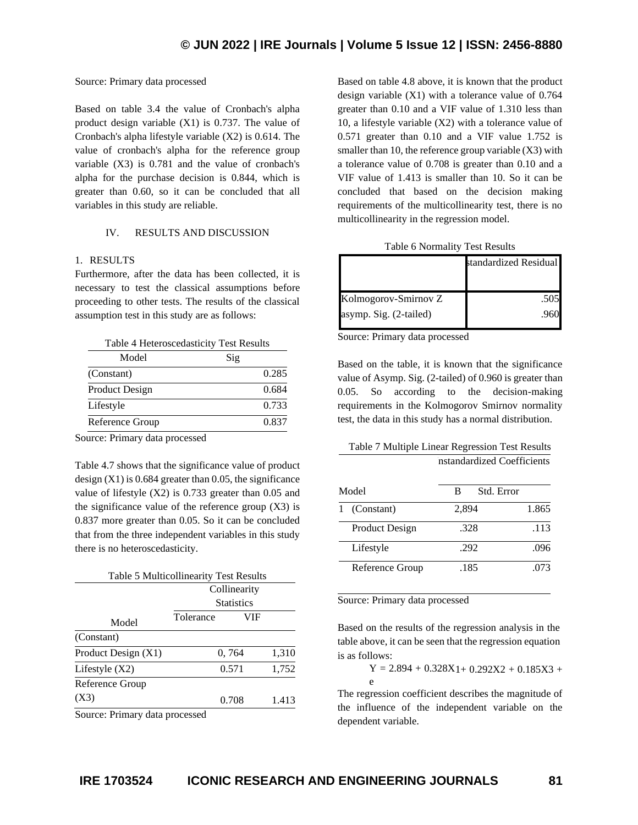#### Source: Primary data processed

Based on table 3.4 the value of Cronbach's alpha product design variable (X1) is 0.737. The value of Cronbach's alpha lifestyle variable (X2) is 0.614. The value of cronbach's alpha for the reference group variable (X3) is 0.781 and the value of cronbach's alpha for the purchase decision is 0.844, which is greater than 0.60, so it can be concluded that all variables in this study are reliable.

## IV. RESULTS AND DISCUSSION

#### 1. RESULTS

Furthermore, after the data has been collected, it is necessary to test the classical assumptions before proceeding to other tests. The results of the classical assumption test in this study are as follows:

| Model                 | Sig |       |
|-----------------------|-----|-------|
| (Constant)            |     | 0.285 |
| <b>Product Design</b> |     | 0.684 |
| Lifestyle             |     | 0.733 |
| Reference Group       |     | 0.837 |

Source: Primary data processed

Table 4.7 shows that the significance value of product design  $(X1)$  is 0.684 greater than 0.05, the significance value of lifestyle (X2) is 0.733 greater than 0.05 and the significance value of the reference group  $(X3)$  is 0.837 more greater than 0.05. So it can be concluded that from the three independent variables in this study there is no heteroscedasticity.

|                     | <b>Table 5 Multicollinearity Test Results</b> |       |       |
|---------------------|-----------------------------------------------|-------|-------|
|                     | Collinearity                                  |       |       |
|                     | <b>Statistics</b>                             |       |       |
| Model               | Tolerance                                     | VIF   |       |
| (Constant)          |                                               |       |       |
| Product Design (X1) |                                               | 0,764 | 1,310 |
| Lifestyle $(X2)$    |                                               | 0.571 | 1,752 |
| Reference Group     |                                               |       |       |
| (X3)                |                                               | 0.708 | 1.413 |
|                     |                                               |       |       |

Source: Primary data processed

Based on table 4.8 above, it is known that the product design variable (X1) with a tolerance value of 0.764 greater than 0.10 and a VIF value of 1.310 less than 10, a lifestyle variable (X2) with a tolerance value of 0.571 greater than 0.10 and a VIF value 1.752 is smaller than 10, the reference group variable  $(X3)$  with a tolerance value of 0.708 is greater than 0.10 and a VIF value of 1.413 is smaller than 10. So it can be concluded that based on the decision making requirements of the multicollinearity test, there is no multicollinearity in the regression model.

|                        | standardized Residual |
|------------------------|-----------------------|
|                        |                       |
| Kolmogorov-Smirnov Z   | .505                  |
| asymp. Sig. (2-tailed) |                       |
|                        |                       |

Source: Primary data processed

Based on the table, it is known that the significance value of Asymp. Sig. (2-tailed) of 0.960 is greater than 0.05. So according to the decision-making requirements in the Kolmogorov Smirnov normality test, the data in this study has a normal distribution.

## Table 7 Multiple Linear Regression Test Results nstandardized Coefficients

| Model                 | Std. Error<br>в |       |
|-----------------------|-----------------|-------|
| (Constant)<br>1       | 2,894           | 1.865 |
| <b>Product Design</b> | .328            | .113  |
| Lifestyle             | .292            | .096  |
| Reference Group       | .185            | .073  |

Source: Primary data processed

Based on the results of the regression analysis in the table above, it can be seen that the regression equation is as follows:

 $Y = 2.894 + 0.328X1 + 0.292X2 + 0.185X3 +$ e

The regression coefficient describes the magnitude of the influence of the independent variable on the dependent variable.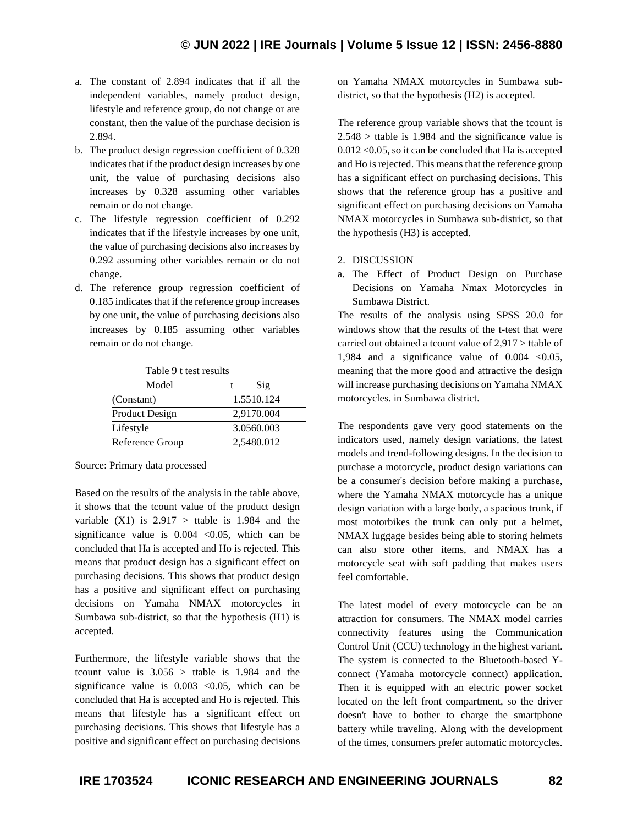- a. The constant of 2.894 indicates that if all the independent variables, namely product design, lifestyle and reference group, do not change or are constant, then the value of the purchase decision is 2.894.
- b. The product design regression coefficient of 0.328 indicates that if the product design increases by one unit, the value of purchasing decisions also increases by 0.328 assuming other variables remain or do not change.
- c. The lifestyle regression coefficient of 0.292 indicates that if the lifestyle increases by one unit, the value of purchasing decisions also increases by 0.292 assuming other variables remain or do not change.
- d. The reference group regression coefficient of 0.185 indicates that if the reference group increases by one unit, the value of purchasing decisions also increases by 0.185 assuming other variables remain or do not change.

| Table 9 t test results |            |  |
|------------------------|------------|--|
| Model                  | Sig        |  |
| (Constant)             | 1.5510.124 |  |
| Product Design         | 2,9170.004 |  |
| Lifestyle              | 3.0560.003 |  |
| Reference Group        | 2,5480.012 |  |

Source: Primary data processed

Based on the results of the analysis in the table above, it shows that the tcount value of the product design variable  $(X1)$  is  $2.917 >$  ttable is 1.984 and the significance value is  $0.004 \leq 0.05$ , which can be concluded that Ha is accepted and Ho is rejected. This means that product design has a significant effect on purchasing decisions. This shows that product design has a positive and significant effect on purchasing decisions on Yamaha NMAX motorcycles in Sumbawa sub-district, so that the hypothesis (H1) is accepted.

Furthermore, the lifestyle variable shows that the tcount value is  $3.056 >$  ttable is 1.984 and the significance value is  $0.003$  < 0.05, which can be concluded that Ha is accepted and Ho is rejected. This means that lifestyle has a significant effect on purchasing decisions. This shows that lifestyle has a positive and significant effect on purchasing decisions on Yamaha NMAX motorcycles in Sumbawa subdistrict, so that the hypothesis (H2) is accepted.

The reference group variable shows that the tcount is  $2.548 >$  ttable is 1.984 and the significance value is 0.012 <0.05, so it can be concluded that Ha is accepted and Ho is rejected. This means that the reference group has a significant effect on purchasing decisions. This shows that the reference group has a positive and significant effect on purchasing decisions on Yamaha NMAX motorcycles in Sumbawa sub-district, so that the hypothesis (H3) is accepted.

- 2. DISCUSSION
- a. The Effect of Product Design on Purchase Decisions on Yamaha Nmax Motorcycles in Sumbawa District.

The results of the analysis using SPSS 20.0 for windows show that the results of the t-test that were carried out obtained a tcount value of 2,917 > ttable of 1,984 and a significance value of  $0.004$  <0.05, meaning that the more good and attractive the design will increase purchasing decisions on Yamaha NMAX motorcycles. in Sumbawa district.

The respondents gave very good statements on the indicators used, namely design variations, the latest models and trend-following designs. In the decision to purchase a motorcycle, product design variations can be a consumer's decision before making a purchase, where the Yamaha NMAX motorcycle has a unique design variation with a large body, a spacious trunk, if most motorbikes the trunk can only put a helmet, NMAX luggage besides being able to storing helmets can also store other items, and NMAX has a motorcycle seat with soft padding that makes users feel comfortable.

The latest model of every motorcycle can be an attraction for consumers. The NMAX model carries connectivity features using the Communication Control Unit (CCU) technology in the highest variant. The system is connected to the Bluetooth-based Yconnect (Yamaha motorcycle connect) application. Then it is equipped with an electric power socket located on the left front compartment, so the driver doesn't have to bother to charge the smartphone battery while traveling. Along with the development of the times, consumers prefer automatic motorcycles.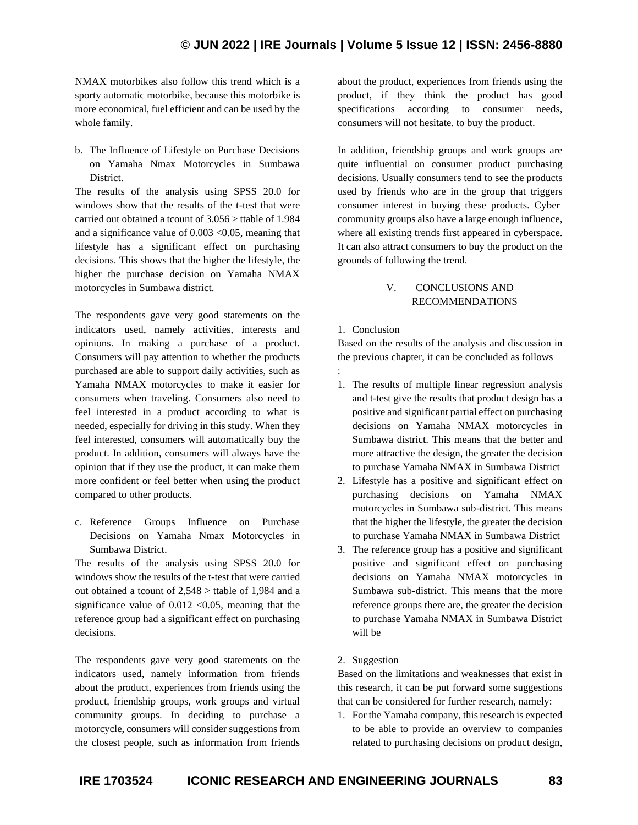NMAX motorbikes also follow this trend which is a sporty automatic motorbike, because this motorbike is more economical, fuel efficient and can be used by the whole family.

b. The Influence of Lifestyle on Purchase Decisions on Yamaha Nmax Motorcycles in Sumbawa District.

The results of the analysis using SPSS 20.0 for windows show that the results of the t-test that were carried out obtained a tcount of 3.056 > ttable of 1.984 and a significance value of  $0.003 < 0.05$ , meaning that lifestyle has a significant effect on purchasing decisions. This shows that the higher the lifestyle, the higher the purchase decision on Yamaha NMAX motorcycles in Sumbawa district.

The respondents gave very good statements on the indicators used, namely activities, interests and opinions. In making a purchase of a product. Consumers will pay attention to whether the products purchased are able to support daily activities, such as Yamaha NMAX motorcycles to make it easier for consumers when traveling. Consumers also need to feel interested in a product according to what is needed, especially for driving in this study. When they feel interested, consumers will automatically buy the product. In addition, consumers will always have the opinion that if they use the product, it can make them more confident or feel better when using the product compared to other products.

c. Reference Groups Influence on Purchase Decisions on Yamaha Nmax Motorcycles in Sumbawa District.

The results of the analysis using SPSS 20.0 for windows show the results of the t-test that were carried out obtained a tcount of 2,548 > ttable of 1,984 and a significance value of  $0.012$  <0.05, meaning that the reference group had a significant effect on purchasing decisions.

The respondents gave very good statements on the indicators used, namely information from friends about the product, experiences from friends using the product, friendship groups, work groups and virtual community groups. In deciding to purchase a motorcycle, consumers will consider suggestions from the closest people, such as information from friends about the product, experiences from friends using the product, if they think the product has good specifications according to consumer needs, consumers will not hesitate. to buy the product.

In addition, friendship groups and work groups are quite influential on consumer product purchasing decisions. Usually consumers tend to see the products used by friends who are in the group that triggers consumer interest in buying these products. Cyber community groups also have a large enough influence, where all existing trends first appeared in cyberspace. It can also attract consumers to buy the product on the grounds of following the trend.

# V. CONCLUSIONS AND RECOMMENDATIONS

# 1. Conclusion

Based on the results of the analysis and discussion in the previous chapter, it can be concluded as follows

- : 1. The results of multiple linear regression analysis and t-test give the results that product design has a positive and significant partial effect on purchasing decisions on Yamaha NMAX motorcycles in Sumbawa district. This means that the better and more attractive the design, the greater the decision to purchase Yamaha NMAX in Sumbawa District
- 2. Lifestyle has a positive and significant effect on purchasing decisions on Yamaha NMAX motorcycles in Sumbawa sub-district. This means that the higher the lifestyle, the greater the decision to purchase Yamaha NMAX in Sumbawa District
- 3. The reference group has a positive and significant positive and significant effect on purchasing decisions on Yamaha NMAX motorcycles in Sumbawa sub-district. This means that the more reference groups there are, the greater the decision to purchase Yamaha NMAX in Sumbawa District will be

# 2. Suggestion

Based on the limitations and weaknesses that exist in this research, it can be put forward some suggestions that can be considered for further research, namely:

1. For the Yamaha company, this research is expected to be able to provide an overview to companies related to purchasing decisions on product design,